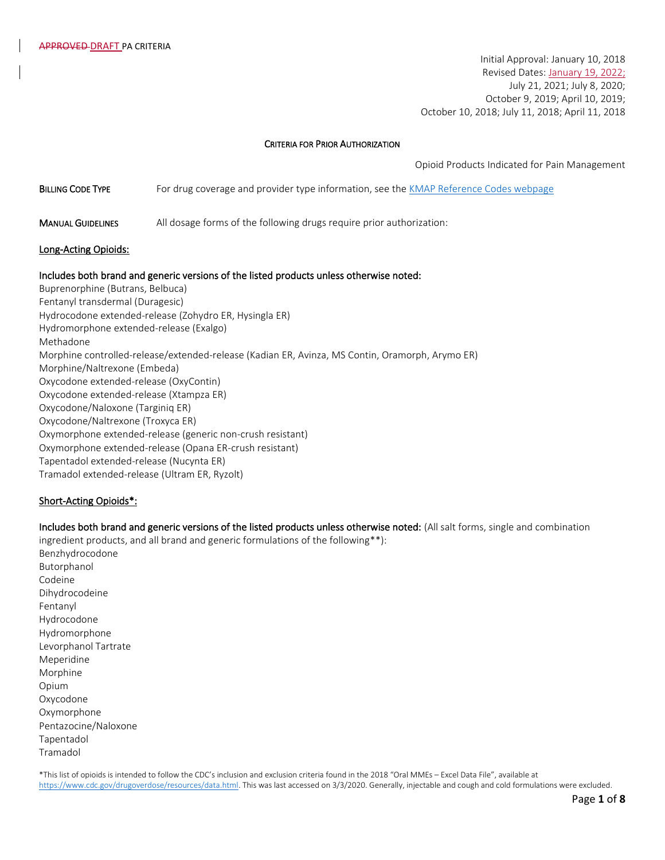Initial Approval: January 10, 2018 Revised Dates: January 19, 2022; July 21, 2021; July 8, 2020; October 9, 2019; April 10, 2019; October 10, 2018; July 11, 2018; April 11, 2018

#### CRITERIA FOR PRIOR AUTHORIZATION

Opioid Products Indicated for Pain Management

**BILLING CODE TYPE** For drug coverage and provider type information, see the [KMAP Reference Codes webpage](https://www.kmap-state-ks.us/Provider/PRICING/RefCode.asp)

MANUAL GUIDELINES All dosage forms of the following drugs require prior authorization:

#### Long-Acting Opioids:

#### Includes both brand and generic versions of the listed products unless otherwise noted:

Buprenorphine (Butrans, Belbuca) Fentanyl transdermal (Duragesic) Hydrocodone extended-release (Zohydro ER, Hysingla ER) Hydromorphone extended-release (Exalgo) Methadone Morphine controlled-release/extended-release (Kadian ER, Avinza, MS Contin, Oramorph, Arymo ER) Morphine/Naltrexone (Embeda) Oxycodone extended-release (OxyContin) Oxycodone extended-release (Xtampza ER) Oxycodone/Naloxone (Targiniq ER) Oxycodone/Naltrexone (Troxyca ER) Oxymorphone extended-release (generic non-crush resistant) Oxymorphone extended-release (Opana ER-crush resistant) Tapentadol extended-release (Nucynta ER) Tramadol extended-release (Ultram ER, Ryzolt)

#### Short-Acting Opioids\*:

Includes both brand and generic versions of the listed products unless otherwise noted: (All salt forms, single and combination ingredient products, and all brand and generic formulations of the following\*\*): Benzhydrocodone Butorphanol Codeine Dihydrocodeine Fentanyl Hydrocodone Hydromorphone Levorphanol Tartrate Meperidine Morphine Opium Oxycodone **Oxymorphone** Pentazocine/Naloxone Tapentadol Tramadol

\*This list of opioids is intended to follow the CDC's inclusion and exclusion criteria found in the 2018 "Oral MMEs – Excel Data File", available at [https://www.cdc.gov/drugoverdose/resources/data.html.](https://www.cdc.gov/drugoverdose/resources/data.html) This was last accessed on 3/3/2020. Generally, injectable and cough and cold formulations were excluded.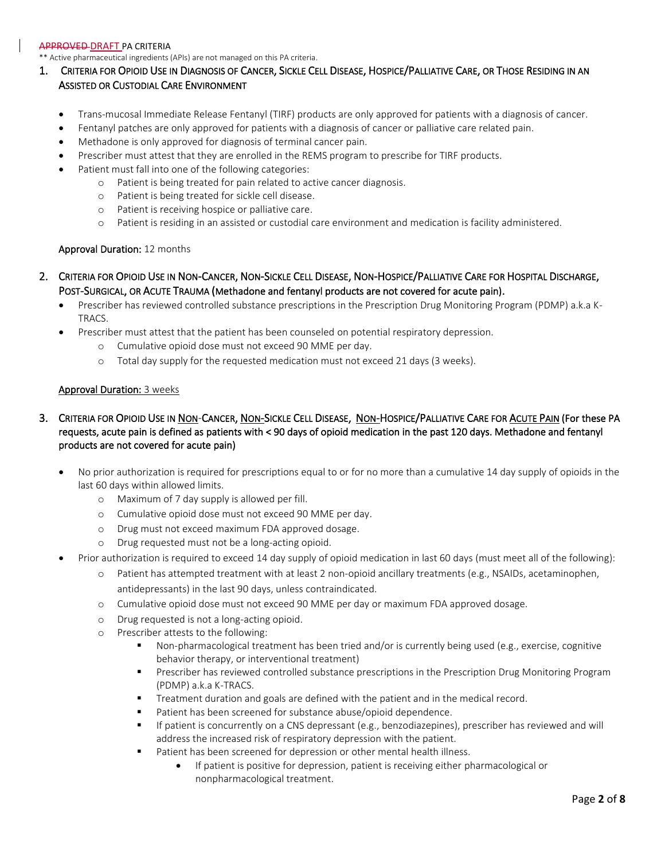\*\* Active pharmaceutical ingredients (APIs) are not managed on this PA criteria.

# 1. CRITERIA FOR OPIOID USE IN DIAGNOSIS OF CANCER, SICKLE CELL DISEASE, HOSPICE/PALLIATIVE CARE, OR THOSE RESIDING IN AN ASSISTED OR CUSTODIAL CARE ENVIRONMENT

- Trans-mucosal Immediate Release Fentanyl (TIRF) products are only approved for patients with a diagnosis of cancer.
- Fentanyl patches are only approved for patients with a diagnosis of cancer or palliative care related pain.
- Methadone is only approved for diagnosis of terminal cancer pain.
- Prescriber must attest that they are enrolled in the REMS program to prescribe for TIRF products.
- Patient must fall into one of the following categories:
	- o Patient is being treated for pain related to active cancer diagnosis.
	- o Patient is being treated for sickle cell disease.
	- o Patient is receiving hospice or palliative care.
	- o Patient is residing in an assisted or custodial care environment and medication is facility administered.

## Approval Duration: 12 months

- 2. CRITERIA FOR OPIOID USE IN NON-CANCER, NON-SICKLE CELL DISEASE, NON-HOSPICE/PALLIATIVE CARE FOR HOSPITAL DISCHARGE, POST-SURGICAL, OR ACUTE TRAUMA (Methadone and fentanyl products are not covered for acute pain).
	- Prescriber has reviewed controlled substance prescriptions in the Prescription Drug Monitoring Program (PDMP) a.k.a K-**TRACS**
	- Prescriber must attest that the patient has been counseled on potential respiratory depression.
		- o Cumulative opioid dose must not exceed 90 MME per day.
		- o Total day supply for the requested medication must not exceed 21 days (3 weeks).

## Approval Duration: 3 weeks

- 3. CRITERIA FOR OPIOID USE IN NON-CANCER, NON-SICKLE CELL DISEASE, NON-HOSPICE/PALLIATIVE CARE FOR ACUTE PAIN (For these PA requests, acute pain is defined as patients with < 90 days of opioid medication in the past 120 days. Methadone and fentanyl products are not covered for acute pain)
	- No prior authorization is required for prescriptions equal to or for no more than a cumulative 14 day supply of opioids in the last 60 days within allowed limits.
		- o Maximum of 7 day supply is allowed per fill.
		- o Cumulative opioid dose must not exceed 90 MME per day.
		- o Drug must not exceed maximum FDA approved dosage.
		- o Drug requested must not be a long-acting opioid.
	- Prior authorization is required to exceed 14 day supply of opioid medication in last 60 days (must meet all of the following):
		- o Patient has attempted treatment with at least 2 non-opioid ancillary treatments (e.g., NSAIDs, acetaminophen, antidepressants) in the last 90 days, unless contraindicated.
		- o Cumulative opioid dose must not exceed 90 MME per day or maximum FDA approved dosage.
		- o Drug requested is not a long-acting opioid.
		- o Prescriber attests to the following:
			- Non-pharmacological treatment has been tried and/or is currently being used (e.g., exercise, cognitive behavior therapy, or interventional treatment)
			- **■** Prescriber has reviewed controlled substance prescriptions in the Prescription Drug Monitoring Program (PDMP) a.k.a K-TRACS.
			- **•** Treatment duration and goals are defined with the patient and in the medical record.
			- Patient has been screened for substance abuse/opioid dependence.
			- **■** If patient is concurrently on a CNS depressant (e.g., benzodiazepines), prescriber has reviewed and will address the increased risk of respiratory depression with the patient.
			- Patient has been screened for depression or other mental health illness.
				- If patient is positive for depression, patient is receiving either pharmacological or nonpharmacological treatment.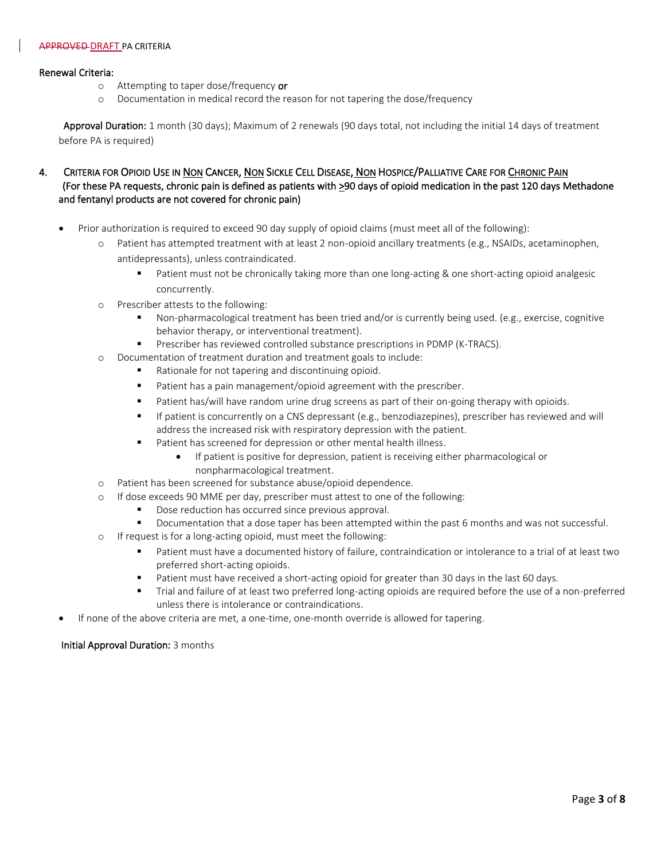## Renewal Criteria:

- o Attempting to taper dose/frequency or
- o Documentation in medical record the reason for not tapering the dose/frequency

Approval Duration: 1 month (30 days); Maximum of 2 renewals (90 days total, not including the initial 14 days of treatment before PA is required)

# 4. CRITERIA FOR OPIOID USE IN NON CANCER, NON SICKLE CELL DISEASE, NON HOSPICE/PALLIATIVE CARE FOR CHRONIC PAIN (For these PA requests, chronic pain is defined as patients with >90 days of opioid medication in the past 120 days Methadone and fentanyl products are not covered for chronic pain)

- Prior authorization is required to exceed 90 day supply of opioid claims (must meet all of the following):
	- o Patient has attempted treatment with at least 2 non-opioid ancillary treatments (e.g., NSAIDs, acetaminophen, antidepressants), unless contraindicated.
		- Patient must not be chronically taking more than one long-acting & one short-acting opioid analgesic concurrently.
	- o Prescriber attests to the following:
		- Non-pharmacological treatment has been tried and/or is currently being used. (e.g., exercise, cognitive behavior therapy, or interventional treatment).
		- **•** Prescriber has reviewed controlled substance prescriptions in PDMP (K-TRACS).
	- o Documentation of treatment duration and treatment goals to include:
		- Rationale for not tapering and discontinuing opioid.
		- Patient has a pain management/opioid agreement with the prescriber.
		- **■** Patient has/will have random urine drug screens as part of their on-going therapy with opioids.
		- If patient is concurrently on a CNS depressant (e.g., benzodiazepines), prescriber has reviewed and will address the increased risk with respiratory depression with the patient.
		- Patient has screened for depression or other mental health illness.
			- If patient is positive for depression, patient is receiving either pharmacological or nonpharmacological treatment.
	- o Patient has been screened for substance abuse/opioid dependence.
	- o If dose exceeds 90 MME per day, prescriber must attest to one of the following:
		- Dose reduction has occurred since previous approval.
		- Documentation that a dose taper has been attempted within the past 6 months and was not successful.
	- o If request is for a long-acting opioid, must meet the following:
		- Patient must have a documented history of failure, contraindication or intolerance to a trial of at least two preferred short-acting opioids.
		- Patient must have received a short-acting opioid for greater than 30 days in the last 60 days.
		- **■** Trial and failure of at least two preferred long-acting opioids are required before the use of a non-preferred unless there is intolerance or contraindications.
- If none of the above criteria are met, a one-time, one-month override is allowed for tapering.

# Initial Approval Duration: 3 months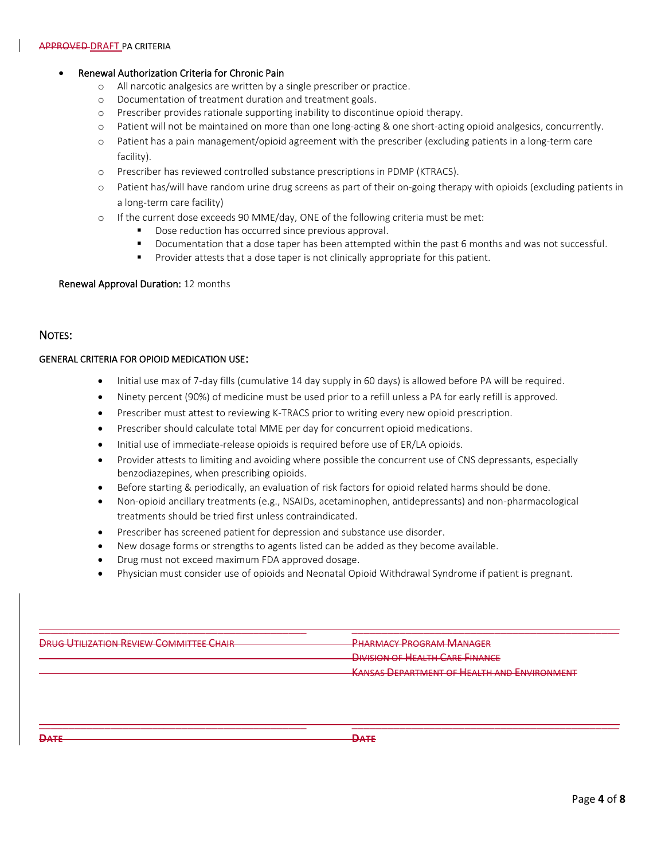# • Renewal Authorization Criteria for Chronic Pain

- o All narcotic analgesics are written by a single prescriber or practice.
- o Documentation of treatment duration and treatment goals.
- o Prescriber provides rationale supporting inability to discontinue opioid therapy.
- o Patient will not be maintained on more than one long-acting & one short-acting opioid analgesics, concurrently.
- o Patient has a pain management/opioid agreement with the prescriber (excluding patients in a long-term care facility).
- o Prescriber has reviewed controlled substance prescriptions in PDMP (KTRACS).
- o Patient has/will have random urine drug screens as part of their on-going therapy with opioids (excluding patients in a long-term care facility)
- o If the current dose exceeds 90 MME/day, ONE of the following criteria must be met:
	- Dose reduction has occurred since previous approval.
	- Documentation that a dose taper has been attempted within the past 6 months and was not successful.
	- **•** Provider attests that a dose taper is not clinically appropriate for this patient.

#### Renewal Approval Duration: 12 months

# NOTES:

# GENERAL CRITERIA FOR OPIOID MEDICATION USE:

- Initial use max of 7-day fills (cumulative 14 day supply in 60 days) is allowed before PA will be required.
- Ninety percent (90%) of medicine must be used prior to a refill unless a PA for early refill is approved.
- Prescriber must attest to reviewing K-TRACS prior to writing every new opioid prescription.
- Prescriber should calculate total MME per day for concurrent opioid medications.
- Initial use of immediate-release opioids is required before use of ER/LA opioids.
- Provider attests to limiting and avoiding where possible the concurrent use of CNS depressants, especially benzodiazepines, when prescribing opioids.
- Before starting & periodically, an evaluation of risk factors for opioid related harms should be done.
- Non-opioid ancillary treatments (e.g., NSAIDs, acetaminophen, antidepressants) and non-pharmacological treatments should be tried first unless contraindicated.
- Prescriber has screened patient for depression and substance use disorder.
- New dosage forms or strengths to agents listed can be added as they become available.
- Drug must not exceed maximum FDA approved dosage.
- Physician must consider use of opioids and Neonatal Opioid Withdrawal Syndrome if patient is pregnant.

| <b>DRUC LITUIZATION REVIEW COMMITTEE CHAIR</b><br><del>DRUG O HLIZAHUN REVIEW COMMITTEE CHAIR</del> | <b>PHARMACY PROGRAM MANAGER</b>                                                       |  |  |
|-----------------------------------------------------------------------------------------------------|---------------------------------------------------------------------------------------|--|--|
|                                                                                                     | <b>DIVICION OF HEALTH CADE FINIANCE</b><br><del>DIVISION OF HEALIN CARE HIVANCE</del> |  |  |
|                                                                                                     | <b>KANSAS DEPARTMENT OF HEALTH AND ENVIRONMENT</b>                                    |  |  |

 $\overline{\phantom{a}}$  , and the contribution of the contribution of the contribution of the contribution of the contribution of the contribution of the contribution of the contribution of the contribution of the contribution of the

**DATE DATE**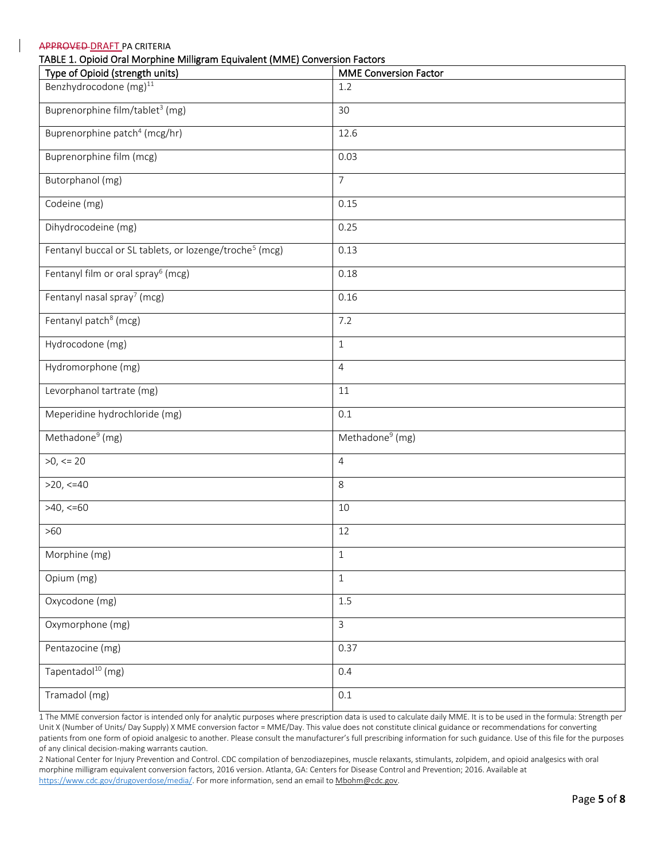| Type of Opioid (strength units)                                     | <b>MME Conversion Factor</b> |
|---------------------------------------------------------------------|------------------------------|
| Benzhydrocodone (mg) <sup>11</sup>                                  | 1.2                          |
| Buprenorphine film/tablet <sup>3</sup> (mg)                         | 30                           |
| Buprenorphine patch <sup>4</sup> (mcg/hr)                           | 12.6                         |
| Buprenorphine film (mcg)                                            | 0.03                         |
| Butorphanol (mg)                                                    | $\overline{7}$               |
| Codeine (mg)                                                        | 0.15                         |
| Dihydrocodeine (mg)                                                 | 0.25                         |
| Fentanyl buccal or SL tablets, or lozenge/troche <sup>5</sup> (mcg) | 0.13                         |
| Fentanyl film or oral spray <sup>6</sup> (mcg)                      | 0.18                         |
| Fentanyl nasal spray <sup>7</sup> (mcg)                             | 0.16                         |
| Fentanyl patch <sup>8</sup> (mcg)                                   | 7.2                          |
| Hydrocodone (mg)                                                    | $\mathbf{1}$                 |
| Hydromorphone (mg)                                                  | $\overline{4}$               |
| Levorphanol tartrate (mg)                                           | 11                           |
| Meperidine hydrochloride (mg)                                       | 0.1                          |
| Methadone <sup>9</sup> (mg)                                         | Methadone <sup>9</sup> (mg)  |
| $>0$ , $<=$ 20                                                      | $\overline{4}$               |
| $>20, \leq 40$                                                      | 8                            |
| $>40, \le 60$                                                       | 10                           |
| $>60$                                                               | 12                           |
| Morphine (mg)                                                       | $1\,$                        |
| Opium (mg)                                                          | $1\,$                        |
| Oxycodone (mg)                                                      | 1.5                          |
| Oxymorphone (mg)                                                    | $\overline{3}$               |
| Pentazocine (mg)                                                    | 0.37                         |
| Tapentadol <sup>10</sup> (mg)                                       | 0.4                          |
| Tramadol (mg)                                                       | $0.1\,$                      |

1 The MME conversion factor is intended only for analytic purposes where prescription data is used to calculate daily MME. It is to be used in the formula: Strength per Unit X (Number of Units/ Day Supply) X MME conversion factor = MME/Day. This value does not constitute clinical guidance or recommendations for converting patients from one form of opioid analgesic to another. Please consult the manufacturer's full prescribing information for such guidance. Use of this file for the purposes of any clinical decision-making warrants caution.

2 National Center for Injury Prevention and Control. CDC compilation of benzodiazepines, muscle relaxants, stimulants, zolpidem, and opioid analgesics with oral morphine milligram equivalent conversion factors, 2016 version. Atlanta, GA: Centers for Disease Control and Prevention; 2016. Available at [https://www.cdc.gov/drugoverdose/media/.](https://www.cdc.gov/drugoverdose/media/) For more information, send an email t[o Mbohm@cdc.gov.](mailto:Mbohm@cdc.gov)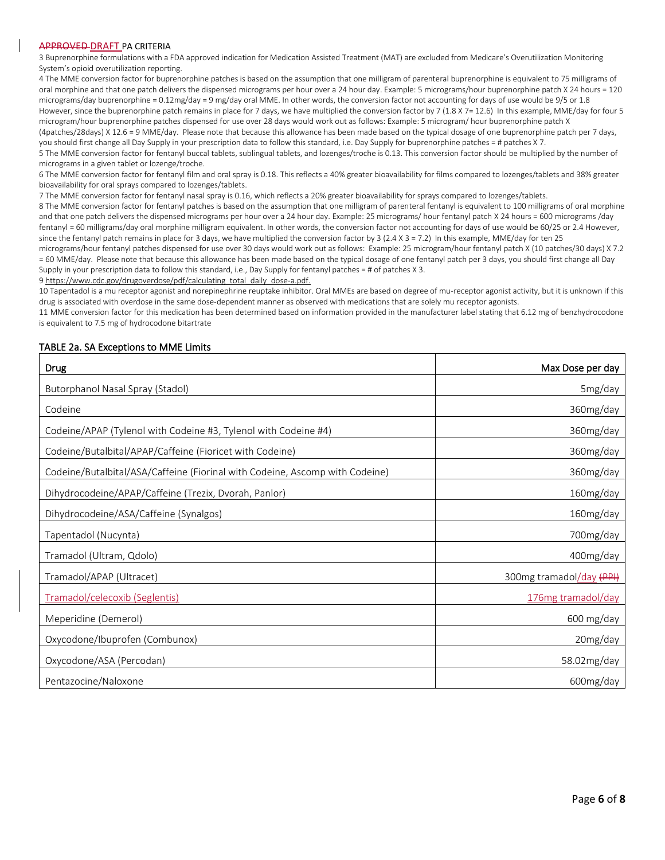3 Buprenorphine formulations with a FDA approved indication for Medication Assisted Treatment (MAT) are excluded from Medicare's Overutilization Monitoring System's opioid overutilization reporting.

4 The MME conversion factor for buprenorphine patches is based on the assumption that one milligram of parenteral buprenorphine is equivalent to 75 milligrams of oral morphine and that one patch delivers the dispensed micrograms per hour over a 24 hour day. Example: 5 micrograms/hour buprenorphine patch X 24 hours = 120 micrograms/day buprenorphine = 0.12mg/day = 9 mg/day oral MME. In other words, the conversion factor not accounting for days of use would be 9/5 or 1.8 However, since the buprenorphine patch remains in place for 7 days, we have multiplied the conversion factor by 7 (1.8 X 7= 12.6) In this example, MME/day for four 5 microgram/hour buprenorphine patches dispensed for use over 28 days would work out as follows: Example: 5 microgram/ hour buprenorphine patch X (4patches/28days) X 12.6 = 9 MME/day. Please note that because this allowance has been made based on the typical dosage of one buprenorphine patch per 7 days,

you should first change all Day Supply in your prescription data to follow this standard, i.e. Day Supply for buprenorphine patches = # patches X7. 5 The MME conversion factor for fentanyl buccal tablets, sublingual tablets, and lozenges/troche is 0.13. This conversion factor should be multiplied by the number of micrograms in a given tablet or lozenge/troche.

6 The MME conversion factor for fentanyl film and oral spray is 0.18. This reflects a 40% greater bioavailability for films compared to lozenges/tablets and 38% greater bioavailability for oral sprays compared to lozenges/tablets.

7 The MME conversion factor for fentanyl nasal spray is 0.16, which reflects a 20% greater bioavailability for sprays compared to lozenges/tablets.

8 The MME conversion factor for fentanyl patches is based on the assumption that one milligram of parenteral fentanyl is equivalent to 100 milligrams of oral morphine and that one patch delivers the dispensed micrograms per hour over a 24 hour day. Example: 25 micrograms/ hour fentanyl patch X 24 hours = 600 micrograms /day fentanyl = 60 milligrams/day oral morphine milligram equivalent. In other words, the conversion factor not accounting for days of use would be 60/25 or 2.4 However, since the fentanyl patch remains in place for 3 days, we have multiplied the conversion factor by 3 (2.4 X 3 = 7.2) In this example, MME/day for ten 25

micrograms/hour fentanyl patches dispensed for use over 30 days would work out as follows: Example: 25 microgram/hour fentanyl patch X (10 patches/30 days) X 7.2 = 60 MME/day. Please note that because this allowance has been made based on the typical dosage of one fentanyl patch per 3 days, you should first change all Day Supply in your prescription data to follow this standard, i.e., Day Supply for fentanyl patches = # of patches X 3.

[9 https://www.cdc.gov/drugoverdose/pdf/calculating\\_total\\_daily\\_dose-a.pdf.](https://www.cdc.gov/drugoverdose/pdf/calculating_total_daily_dose-a.pdf.)

10 Tapentadol is a mu receptor agonist and norepinephrine reuptake inhibitor. Oral MMEs are based on degree of mu-receptor agonist activity, but it is unknown if this drug is associated with overdose in the same dose-dependent manner as observed with medications that are solely mu receptor agonists.

11 MME conversion factor for this medication has been determined based on information provided in the manufacturer label stating that 6.12 mg of benzhydrocodone is equivalent to 7.5 mg of hydrocodone bitartrate

#### TABLE 2a. SA Exceptions to MME Limits

| <b>Drug</b>                                                                  | Max Dose per day         |
|------------------------------------------------------------------------------|--------------------------|
| Butorphanol Nasal Spray (Stadol)                                             | 5mg/day                  |
| Codeine                                                                      | 360mg/day                |
| Codeine/APAP (Tylenol with Codeine #3, Tylenol with Codeine #4)              | 360mg/day                |
| Codeine/Butalbital/APAP/Caffeine (Fioricet with Codeine)                     | 360mg/day                |
| Codeine/Butalbital/ASA/Caffeine (Fiorinal with Codeine, Ascomp with Codeine) | 360mg/day                |
| Dihydrocodeine/APAP/Caffeine (Trezix, Dvorah, Panlor)                        | 160mg/day                |
| Dihydrocodeine/ASA/Caffeine (Synalgos)                                       | 160mg/day                |
| Tapentadol (Nucynta)                                                         | 700mg/day                |
| Tramadol (Ultram, Qdolo)                                                     | 400mg/day                |
| Tramadol/APAP (Ultracet)                                                     | 300mg tramadol/day (PPI) |
| Tramadol/celecoxib (Seglentis)                                               | 176mg tramadol/day       |
| Meperidine (Demerol)                                                         | 600 mg/day               |
| Oxycodone/Ibuprofen (Combunox)                                               | 20mg/day                 |
| Oxycodone/ASA (Percodan)                                                     | 58.02mg/day              |
| Pentazocine/Naloxone                                                         | 600mg/day                |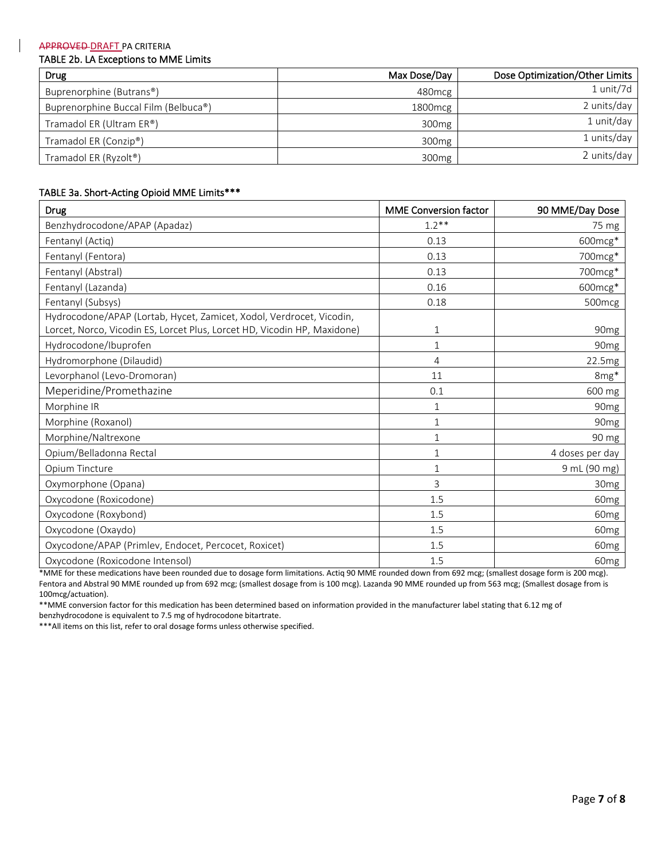## TABLE 2b. LA Exceptions to MME Limits

| <b>Drug</b>                          | Max Dose/Day       | Dose Optimization/Other Limits |
|--------------------------------------|--------------------|--------------------------------|
| Buprenorphine (Butrans®)             | 480 <sub>mcg</sub> | 1 unit/7d                      |
| Buprenorphine Buccal Film (Belbuca®) | 1800 mcg           | 2 units/day                    |
| Tramadol ER (Ultram ER®)             | 300 <sub>mg</sub>  | 1 unit/day                     |
| Tramadol ER (Conzip®)                | 300 <sub>mg</sub>  | 1 units/day                    |
| Tramadol ER (Ryzolt <sup>®</sup> )   | 300 <sub>mg</sub>  | 2 units/day                    |

## TABLE 3a. Short-Acting Opioid MME Limits\*\*\*

| <b>Drug</b>                                                                                                                                      | <b>MME Conversion factor</b> | 90 MME/Day Dose    |
|--------------------------------------------------------------------------------------------------------------------------------------------------|------------------------------|--------------------|
| Benzhydrocodone/APAP (Apadaz)                                                                                                                    | $1.2**$                      | 75 mg              |
| Fentanyl (Actiq)                                                                                                                                 | 0.13                         | 600mcg*            |
| Fentanyl (Fentora)                                                                                                                               | 0.13                         | 700mcg*            |
| Fentanyl (Abstral)                                                                                                                               | 0.13                         | 700mcg*            |
| Fentanyl (Lazanda)                                                                                                                               | 0.16                         | 600mcg*            |
| Fentanyl (Subsys)                                                                                                                                | 0.18                         | 500 <sub>mcg</sub> |
| Hydrocodone/APAP (Lortab, Hycet, Zamicet, Xodol, Verdrocet, Vicodin,<br>Lorcet, Norco, Vicodin ES, Lorcet Plus, Lorcet HD, Vicodin HP, Maxidone) | $\mathbf{1}$                 | 90 <sub>mg</sub>   |
| Hydrocodone/Ibuprofen                                                                                                                            | $\mathbf{1}$                 | 90 <sub>mg</sub>   |
| Hydromorphone (Dilaudid)                                                                                                                         | 4                            | 22.5mg             |
| Levorphanol (Levo-Dromoran)                                                                                                                      | 11                           | 8mg*               |
| Meperidine/Promethazine                                                                                                                          | 0.1                          | 600 mg             |
| Morphine IR                                                                                                                                      | $\mathbf{1}$                 | 90 <sub>mg</sub>   |
| Morphine (Roxanol)                                                                                                                               | $\mathbf{1}$                 | 90 <sub>mg</sub>   |
| Morphine/Naltrexone                                                                                                                              | $\mathbf{1}$                 | 90 mg              |
| Opium/Belladonna Rectal                                                                                                                          | $\mathbf 1$                  | 4 doses per day    |
| Opium Tincture                                                                                                                                   | $\mathbf{1}$                 | 9 mL (90 mg)       |
| Oxymorphone (Opana)                                                                                                                              | 3                            | 30 <sub>mg</sub>   |
| Oxycodone (Roxicodone)                                                                                                                           | 1.5                          | 60 <sub>mg</sub>   |
| Oxycodone (Roxybond)                                                                                                                             | 1.5                          | 60 <sub>mg</sub>   |
| Oxycodone (Oxaydo)                                                                                                                               | 1.5                          | 60 <sub>mg</sub>   |
| Oxycodone/APAP (Primlev, Endocet, Percocet, Roxicet)                                                                                             | 1.5                          | 60 <sub>mg</sub>   |
| Oxycodone (Roxicodone Intensol)                                                                                                                  | 1.5                          | 60 <sub>mg</sub>   |

\*MME for these medications have been rounded due to dosage form limitations. Actiq 90 MME rounded down from 692 mcg; (smallest dosage form is 200 mcg). Fentora and Abstral 90 MME rounded up from 692 mcg; (smallest dosage from is 100 mcg). Lazanda 90 MME rounded up from 563 mcg; (Smallest dosage from is 100mcg/actuation).

\*\*MME conversion factor for this medication has been determined based on information provided in the manufacturer label stating that 6.12 mg of benzhydrocodone is equivalent to 7.5 mg of hydrocodone bitartrate.

\*\*\*All items on this list, refer to oral dosage forms unless otherwise specified.